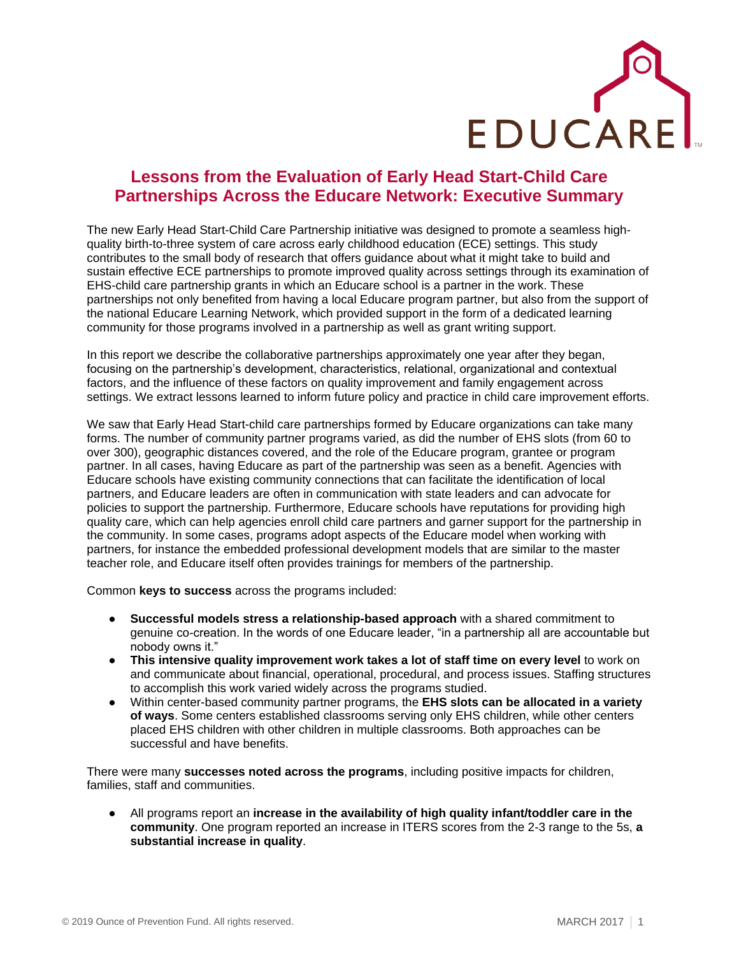

## **Lessons from the Evaluation of Early Head Start-Child Care Partnerships Across the Educare Network: Executive Summary**

The new Early Head Start-Child Care Partnership initiative was designed to promote a seamless highquality birth-to-three system of care across early childhood education (ECE) settings. This study contributes to the small body of research that offers guidance about what it might take to build and sustain effective ECE partnerships to promote improved quality across settings through its examination of EHS-child care partnership grants in which an Educare school is a partner in the work. These partnerships not only benefited from having a local Educare program partner, but also from the support of the national Educare Learning Network, which provided support in the form of a dedicated learning community for those programs involved in a partnership as well as grant writing support.

In this report we describe the collaborative partnerships approximately one year after they began, focusing on the partnership's development, characteristics, relational, organizational and contextual factors, and the influence of these factors on quality improvement and family engagement across settings. We extract lessons learned to inform future policy and practice in child care improvement efforts.

We saw that Early Head Start-child care partnerships formed by Educare organizations can take many forms. The number of community partner programs varied, as did the number of EHS slots (from 60 to over 300), geographic distances covered, and the role of the Educare program, grantee or program partner. In all cases, having Educare as part of the partnership was seen as a benefit. Agencies with Educare schools have existing community connections that can facilitate the identification of local partners, and Educare leaders are often in communication with state leaders and can advocate for policies to support the partnership. Furthermore, Educare schools have reputations for providing high quality care, which can help agencies enroll child care partners and garner support for the partnership in the community. In some cases, programs adopt aspects of the Educare model when working with partners, for instance the embedded professional development models that are similar to the master teacher role, and Educare itself often provides trainings for members of the partnership.

Common **keys to success** across the programs included:

- **Successful models stress a relationship-based approach** with a shared commitment to genuine co-creation. In the words of one Educare leader, "in a partnership all are accountable but nobody owns it."
- **This intensive quality improvement work takes a lot of staff time on every level** to work on and communicate about financial, operational, procedural, and process issues. Staffing structures to accomplish this work varied widely across the programs studied.
- Within center-based community partner programs, the **EHS slots can be allocated in a variety of ways**. Some centers established classrooms serving only EHS children, while other centers placed EHS children with other children in multiple classrooms. Both approaches can be successful and have benefits.

There were many **successes noted across the programs**, including positive impacts for children, families, staff and communities.

All programs report an **increase in the availability of high quality infant/toddler care in the community**. One program reported an increase in ITERS scores from the 2-3 range to the 5s, **a substantial increase in quality**.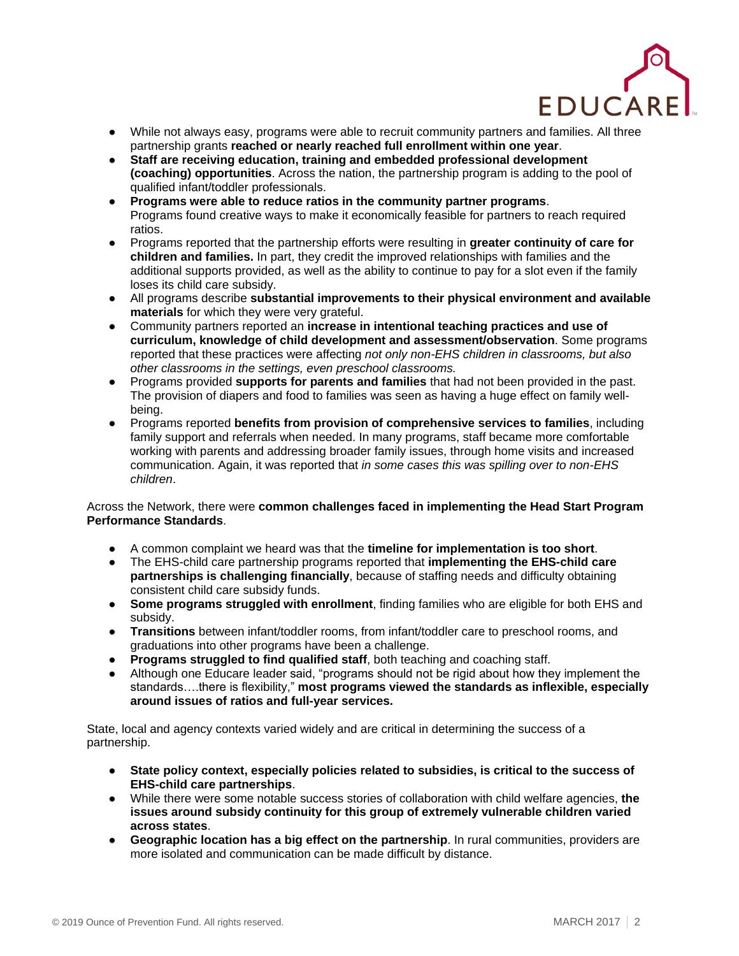

- While not always easy, programs were able to recruit community partners and families. All three partnership grants **reached or nearly reached full enrollment within one year**.
- **Staff are receiving education, training and embedded professional development (coaching) opportunities**. Across the nation, the partnership program is adding to the pool of qualified infant/toddler professionals.
- **Programs were able to reduce ratios in the community partner programs**. Programs found creative ways to make it economically feasible for partners to reach required ratios.
- Programs reported that the partnership efforts were resulting in **greater continuity of care for children and families.** In part, they credit the improved relationships with families and the additional supports provided, as well as the ability to continue to pay for a slot even if the family loses its child care subsidy.
- All programs describe **substantial improvements to their physical environment and available materials** for which they were very grateful.
- Community partners reported an **increase in intentional teaching practices and use of curriculum, knowledge of child development and assessment/observation**. Some programs reported that these practices were affecting *not only non-EHS children in classrooms, but also other classrooms in the settings, even preschool classrooms.*
- Programs provided **supports for parents and families** that had not been provided in the past. The provision of diapers and food to families was seen as having a huge effect on family wellbeing.
- Programs reported **benefits from provision of comprehensive services to families**, including family support and referrals when needed. In many programs, staff became more comfortable working with parents and addressing broader family issues, through home visits and increased communication. Again, it was reported that *in some cases this was spilling over to non-EHS children*.

## Across the Network, there were **common challenges faced in implementing the Head Start Program Performance Standards**.

- A common complaint we heard was that the **timeline for implementation is too short**.
- The EHS-child care partnership programs reported that **implementing the EHS-child care partnerships is challenging financially**, because of staffing needs and difficulty obtaining consistent child care subsidy funds.
- **Some programs struggled with enrollment**, finding families who are eligible for both EHS and subsidy.
- **Transitions** between infant/toddler rooms, from infant/toddler care to preschool rooms, and graduations into other programs have been a challenge.
- **Programs struggled to find qualified staff**, both teaching and coaching staff.
- Although one Educare leader said, "programs should not be rigid about how they implement the standards….there is flexibility," **most programs viewed the standards as inflexible, especially around issues of ratios and full-year services.**

State, local and agency contexts varied widely and are critical in determining the success of a partnership.

- **State policy context, especially policies related to subsidies, is critical to the success of EHS-child care partnerships**.
- While there were some notable success stories of collaboration with child welfare agencies, **the issues around subsidy continuity for this group of extremely vulnerable children varied across states**.
- **Geographic location has a big effect on the partnership**. In rural communities, providers are more isolated and communication can be made difficult by distance.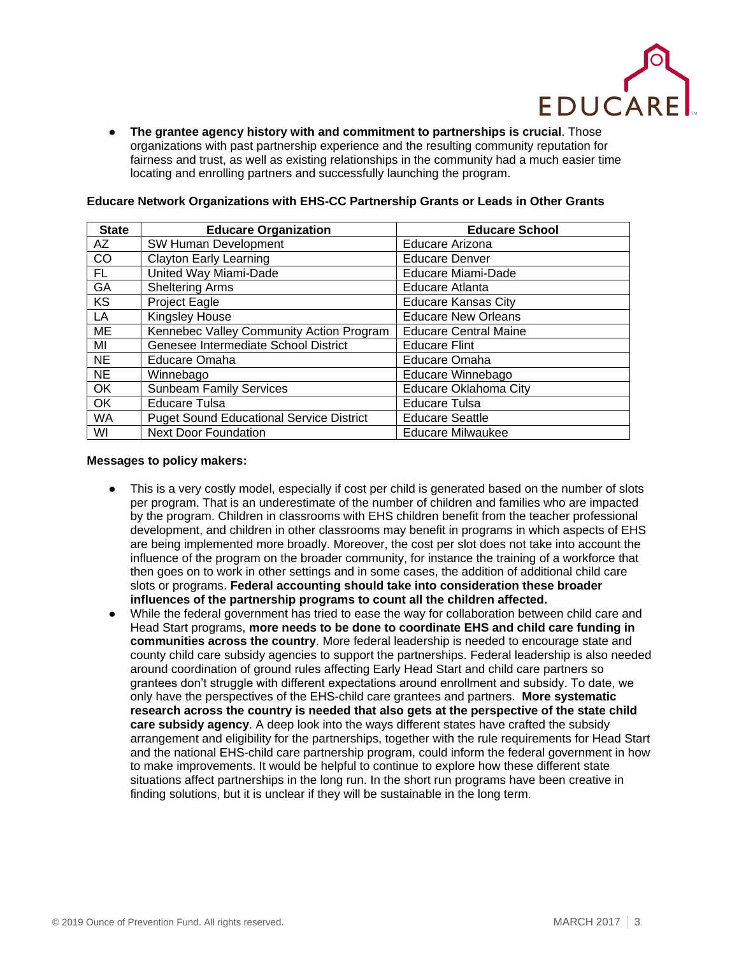

● **The grantee agency history with and commitment to partnerships is crucial**. Those organizations with past partnership experience and the resulting community reputation for fairness and trust, as well as existing relationships in the community had a much easier time locating and enrolling partners and successfully launching the program.

| <b>State</b> | <b>Educare Organization</b>                     | <b>Educare School</b>        |
|--------------|-------------------------------------------------|------------------------------|
| AZ           | SW Human Development                            | Educare Arizona              |
| CO           | <b>Clayton Early Learning</b>                   | <b>Educare Denver</b>        |
| FL.          | United Way Miami-Dade                           | Educare Miami-Dade           |
| GA           | <b>Sheltering Arms</b>                          | Educare Atlanta              |
| <b>KS</b>    | Project Eagle                                   | <b>Educare Kansas City</b>   |
| LA           | Kingsley House                                  | <b>Educare New Orleans</b>   |
| <b>ME</b>    | Kennebec Valley Community Action Program        | <b>Educare Central Maine</b> |
| MI           | Genesee Intermediate School District            | <b>Educare Flint</b>         |
| <b>NE</b>    | Educare Omaha                                   | Educare Omaha                |
| <b>NE</b>    | Winnebago                                       | Educare Winnebago            |
| OK           | <b>Sunbeam Family Services</b>                  | Educare Oklahoma City        |
| OK           | Educare Tulsa                                   | <b>Educare Tulsa</b>         |
| <b>WA</b>    | <b>Puget Sound Educational Service District</b> | <b>Educare Seattle</b>       |
| WI           | <b>Next Door Foundation</b>                     | <b>Educare Milwaukee</b>     |

## **Educare Network Organizations with EHS-CC Partnership Grants or Leads in Other Grants**

## **Messages to policy makers:**

- This is a very costly model, especially if cost per child is generated based on the number of slots per program. That is an underestimate of the number of children and families who are impacted by the program. Children in classrooms with EHS children benefit from the teacher professional development, and children in other classrooms may benefit in programs in which aspects of EHS are being implemented more broadly. Moreover, the cost per slot does not take into account the influence of the program on the broader community, for instance the training of a workforce that then goes on to work in other settings and in some cases, the addition of additional child care slots or programs. **Federal accounting should take into consideration these broader influences of the partnership programs to count all the children affected.**
- While the federal government has tried to ease the way for collaboration between child care and Head Start programs, **more needs to be done to coordinate EHS and child care funding in communities across the country**. More federal leadership is needed to encourage state and county child care subsidy agencies to support the partnerships. Federal leadership is also needed around coordination of ground rules affecting Early Head Start and child care partners so grantees don't struggle with different expectations around enrollment and subsidy. To date, we only have the perspectives of the EHS-child care grantees and partners. **More systematic research across the country is needed that also gets at the perspective of the state child care subsidy agency**. A deep look into the ways different states have crafted the subsidy arrangement and eligibility for the partnerships, together with the rule requirements for Head Start and the national EHS-child care partnership program, could inform the federal government in how to make improvements. It would be helpful to continue to explore how these different state situations affect partnerships in the long run. In the short run programs have been creative in finding solutions, but it is unclear if they will be sustainable in the long term.